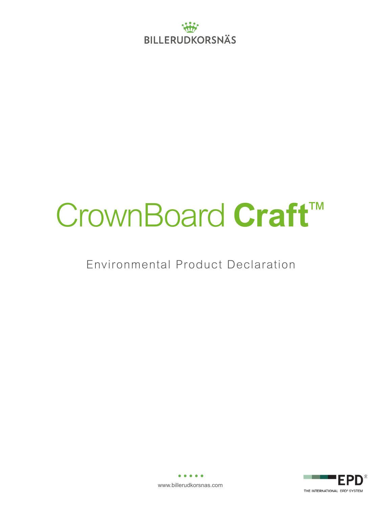

# CrownBoard **Craft**™

Environmental Product Declaration



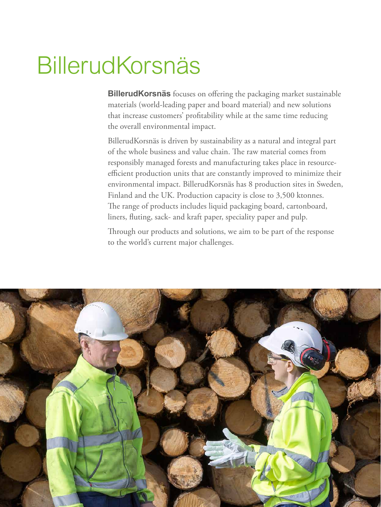## BillerudKorsnäs

**BillerudKorsnäs** focuses on offering the packaging market sustainable materials (world-leading paper and board material) and new solutions that increase customers' profitability while at the same time reducing the overall environmental impact.

BillerudKorsnäs is driven by sustainability as a natural and integral part of the whole business and value chain. The raw material comes from responsibly managed forests and manufacturing takes place in resourceefficient production units that are constantly improved to minimize their environmental impact. BillerudKorsnäs has 8 production sites in Sweden, Finland and the UK. Production capacity is close to 3,500 ktonnes. The range of products includes liquid packaging board, cartonboard, liners, fluting, sack- and kraft paper, speciality paper and pulp.

Through our products and solutions, we aim to be part of the response to the world's current major challenges.

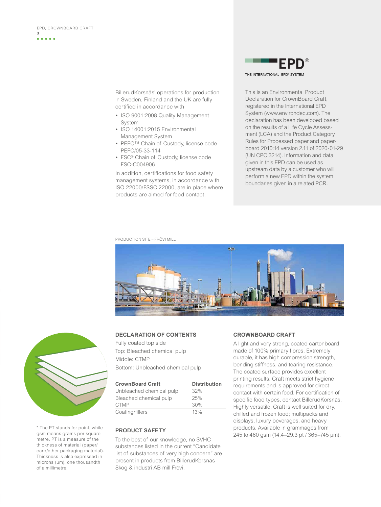BillerudKorsnäs' operations for production in Sweden, Finland and the UK are fully certified in accordance with

- ISO 9001:2008 Quality Management System
- ISO 14001:2015 Environmental Management System
- PEFC™ Chain of Custody, license code PEFC/05-33-114
- FSC® Chain of Custody, license code FSC-C004906

In addition, certifications for food safety management systems, in accordance with ISO 22000/FSSC 22000, are in place where products are aimed for food contact.

THE INTERNATIONAL EPD<sup>®</sup> SYSTEM

This is an Environmental Product Declaration for CrownBoard Craft, registered in the International EPD System (www.environdec.com). The declaration has been developed based on the results of a Life Cycle Assessment (LCA) and the Product Category Rules for Processed paper and paperboard 2010:14 version 2.11 of 2020-01-29 (UN CPC 3214). Information and data given in this EPD can be used as upstream data by a customer who will perform a new EPD within the system boundaries given in a related PCR.

PRODUCTION SITE – FRÖVI MILL





\* The PT stands for point, while gsm means grams per square metre. PT is a measure of the thickness of material (paper/ card/other packaging material). Thickness is also expressed in microns (µm), one thousandth of a millimetre.

## **DECLARATION OF CONTENTS**

Fully coated top side Top: Bleached chemical pulp Middle: CTMP Bottom: Unbleached chemical pulp

| <b>CrownBoard Craft</b>  | <b>Distribution</b> |
|--------------------------|---------------------|
| Unbleached chemical pulp | 32%                 |
| Bleached chemical pulp   | 25%                 |
| <b>CTMP</b>              | 30%                 |
| Coating/fillers          | 13%                 |

## **PRODUCT SAFETY**

To the best of our knowledge, no SVHC substances listed in the current "Candidate list of substances of very high concern" are present in products from BillerudKorsnäs Skog & industri AB mill Frövi.

## **CROWNBOARD CRAFT**

A light and very strong, coated cartonboard made of 100% primary fibres. Extremely durable, it has high compression strength, bending stiffness, and tearing resistance. The coated surface provides excellent printing results. Craft meets strict hygiene requirements and is approved for direct contact with certain food. For certification of specific food types, contact BillerudKorsnäs. Highly versatile, Craft is well suited for dry, chilled and frozen food; multipacks and displays, luxury beverages, and heavy products. Available in grammages from 245 to 460 gsm (14.4–29.3 pt / 365–745 µm).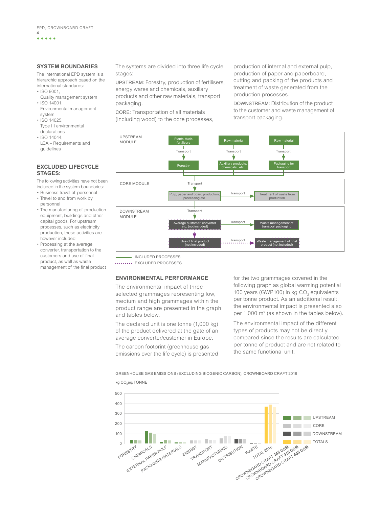. . . . .

**4**

## **SYSTEM BOUNDARIES**

The international EPD system is a hierarchic approach based on the international standards:

- ISO 9001,
- Quality management system • ISO 14001,
- Environmental management system
- ISO 14025, Type III environmental declarations
- $•$  ISO 14044 LCA – Requirements and guidelines

## **EXCLUDED LIFECYCLE STAGES:**

The following activities have not been included in the system boundaries:

- Business travel of personnel
- Travel to and from work by personnel
- The manufacturing of production equipment, buildings and other capital goods. For upstream processes, such as electricity production, these activities are however included
- Processing at the average converter, transportation to the customers and use of final product, as well as waste management of the final product

The systems are divided into three life cycle stages:

UPSTREAM: Forestry, production of fertilisers, energy wares and chemicals, auxiliary products and other raw materials, transport packaging.

CORE: Transportation of all materials (including wood) to the core processes, production of internal and external pulp, production of paper and paperboard, cutting and packing of the products and treatment of waste generated from the production processes.

DOWNSTREAM: Distribution of the product to the customer and waste management of transport packaging.



INCLUDED PROCESSES

EXCLUDED PROCESSES

## **ENVIRONMENTAL PERFORMANCE**

The environmental impact of three selected grammages representing low, medium and high grammages within the product range are presented in the graph and tables below.

The declared unit is one tonne (1,000 kg) of the product delivered at the gate of an average converter/customer in Europe.

The carbon footprint (greenhouse gas emissions over the life cycle) is presented for the two grammages covered in the following graph as global warming potential 100 years (GWP100) in kg  $CO<sub>2</sub>$  equivalents per tonne product. As an additional result, the environmental impact is presented also per 1,000 m<sup>2</sup> (as shown in the tables below).

The environmental impact of the different types of products may not be directly compared since the results are calculated per tonne of product and are not related to the same functional unit.

GREENHOUSE GAS EMISSIONS (EXCLUDING BIOGENIC CARBON), CROWNBOARD CRAFT 2018



kg CO<sub>2</sub>eq/TONNE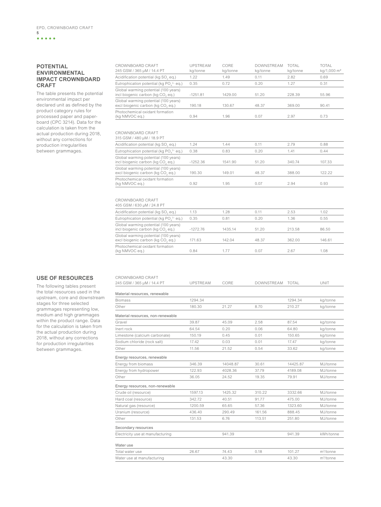**5**

## **POTENTIAL ENVIRONMENTAL IMPACT CROWNBOARD CRAFT**

The table presents the potential environmental impact per declared unit as defined by the product category rules for processed paper and paperboard (CPC 3214). Data for the calculation is taken from the actual production during 2018, without any corrections for production irregularities between grammages.

| CROWNBOARD CRAFT<br>245 GSM / 365 µM / 14.4 PT                            | <b>UPSTRFAM</b><br>ka/tonne | CORE<br>ka/tonne | <b>DOWNSTREAM</b><br>kg/tonne | <b>TOTAL</b><br>ka/tonne | <b>TOTAL</b><br>kg/1,000 m <sup>2</sup> |
|---------------------------------------------------------------------------|-----------------------------|------------------|-------------------------------|--------------------------|-----------------------------------------|
| Acidification potential (kg SO, eq.)                                      | 1.22                        | 1.49             | 0.11                          | 2.82                     | 0.69                                    |
| Eutrophication potential (kg PO <sub>4</sub> <sup>3-</sup> eq.)           | 0.35                        | 0.72             | 0.20                          | 1.27                     | 0.31                                    |
| Global warming potential (100 years)<br>incl biogenic carbon (kg CO, eg.) | $-1251.81$                  | 1429.00          | 51.20                         | 228.39                   | 55.96                                   |
| Global warming potential (100 years)<br>excl biogenic carbon (kg CO, eq.) | 190.18                      | 130.67           | 48.37                         | 369.00                   | 90.41                                   |
| Photochemical oxidant formation<br>(kg NMVOC eg.)                         | 0.94                        | 1.96             | 0.07                          | 2.97                     | 0.73                                    |

## CROWNBOARD CRAFT 315 GSM / 480 μM / 18.9 PT

| 1.24       | 1.44    | 0.11  | 2.79   | 0.88   |
|------------|---------|-------|--------|--------|
| 0.38       | 0.83    | 0.20  | 1.41   | 0.44   |
| $-1252.36$ | 1541.90 | 51.20 | 340.74 | 107.33 |
| 190.30     | 149.01  | 48.37 | 388.00 | 122.22 |
| 0.92       | 1.95    | 0.07  | 2.94   | 0.93   |
|            |         |       |        |        |

| CROWNBOARD CRAFT                                                          |            |         |       |        |        |
|---------------------------------------------------------------------------|------------|---------|-------|--------|--------|
| 405 GSM / 630 µM / 24.8 PT                                                |            |         |       |        |        |
| Acidification potential (kg SO, eg.)                                      | 1.13       | 1.28    | 0.11  | 2.53   | 1.02   |
| Eutrophication potential (kg PO, <sup>3-</sup> eg.)                       | 0.35       | 0.81    | 0.20  | 1.36   | 0.55   |
| Global warming potential (100 years)<br>incl biogenic carbon (kg CO, eq.) | $-1272.76$ | 1435.14 | 51.20 | 213.58 | 86.50  |
| Global warming potential (100 years)<br>excl biogenic carbon (kg CO, eq.) | 171.63     | 142.04  | 48.37 | 362.00 | 146.61 |
| Photochemical oxidant formation<br>(kg NMVOC eg.)                         | 0.84       | 1.77    | 0.07  | 2.67   | 1.08   |
|                                                                           |            |         |       |        |        |

## **USE OF RESOURCES**

The following tables present the total resources used in the upstream, core and downstream stages for three selected grammages representing low, medium and high grammages within the product range. Data for the calculation is taken from the actual production during 2018, without any corrections for production irregularities between grammages.

| CROWNBOARD CRAFT                  |                 |          |                   |          |              |
|-----------------------------------|-----------------|----------|-------------------|----------|--------------|
| 245 GSM / 365 µM / 14.4 PT        | <b>UPSTRFAM</b> | CORE     | <b>DOWNSTREAM</b> | TOTAI    | UNIT         |
| Material resources, renewable     |                 |          |                   |          |              |
| <b>Biomass</b>                    | 1294.34         |          |                   | 1294.34  | kg/tonne     |
| Other                             | 180.30          | 21.27    | 8.70              | 210.27   | kg/tonne     |
| Material resources, non-renewable |                 |          |                   |          |              |
| Gravel                            | 39.87           | 45.09    | 2.58              | 87.54    | kg/tonne     |
| Inert rock                        | 64.54           | 0.20     | 0.06              | 64.80    | kg/tonne     |
| Limestone (calcium carbonate)     | 150.19          | 0.45     | 0.01              | 150.65   | kg/tonne     |
| Sodium chloride (rock salt)       | 17.42           | 0.03     | 0.01              | 17.47    | kg/tonne     |
| Other                             | 11.56           | 21.52    | 0.54              | 33.62    | kg/tonne     |
| Energy resources, renewable       |                 |          |                   |          |              |
| Energy from biomass               | 346.39          | 14048.87 | 30.61             | 14425.87 | M.J/tonne    |
| Energy from hydropower            | 122.93          | 4028.36  | 37.79             | 4189.08  | MJ/tonne     |
| Other                             | 36.05           | 24.52    | 19.35             | 79.91    | MJ/tonne     |
| Energy resources, non-renewable   |                 |          |                   |          |              |
| Crude oil (resource)              | 1597.13         | 1425.32  | 310.22            | 3332.66  | MJ/tonne     |
| Hard coal (resource)              | 342.72          | 40.51    | 91.77             | 475.00   | M.J/tonne    |
| Natural gas (resource)            | 1200.59         | 65.65    | 57.36             | 1323.60  | MJ/tonne     |
| Uranium (resource)                | 436.40          | 290.49   | 161.56            | 888.45   | MJ/tonne     |
| Other                             | 131.53          | 6.76     | 113.51            | 251.80   | MJ/tonne     |
| Secondary resources               |                 |          |                   |          |              |
| Electricity use at manufacturing  |                 | 941.39   |                   | 941.39   | kWh/tonne    |
| Water use                         |                 |          |                   |          |              |
| Total water use                   | 26.67           | 74.43    | 0.18              | 101.27   | $m^3$ /tonne |
| Water use at manufacturing        |                 | 43.30    |                   | 43.30    | $m^3$ /tonne |
|                                   |                 |          |                   |          |              |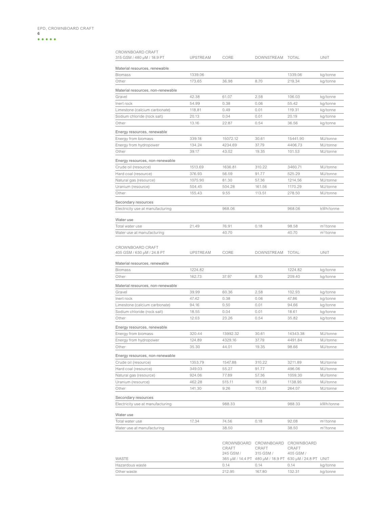**6**<br>**6**<br>**00000** 

| CROWNBOARD CRAFT<br>315 GSM / 480 µM / 18.9 PT              | <b>UPSTREAM</b> | CORE         | DOWNSTREAM   | <b>TOTAL</b>                     | UNIT                  |
|-------------------------------------------------------------|-----------------|--------------|--------------|----------------------------------|-----------------------|
| Material resources, renewable                               |                 |              |              |                                  |                       |
| <b>Biomass</b>                                              | 1339.06         |              |              | 1339.06                          | kg/tonne              |
| Other                                                       | 173.65          | 36.98        | 8.70         | 219.34                           | kg/tonne              |
|                                                             |                 |              |              |                                  |                       |
| Material resources, non-renewable<br>Gravel                 | 42.38           | 61.07        | 2.58         | 106.03                           |                       |
| Inert rock                                                  | 54.99           | 0.38         | 0.06         | 55.42                            | kg/tonne<br>kg/tonne  |
| Limestone (calcium carbonate)                               | 118.81          | 0.49         | 0.01         | 119.31                           | kg/tonne              |
| Sodium chloride (rock salt)                                 | 20.13           | 0.04         | 0.01         | 20.19                            | kg/tonne              |
| Other                                                       | 13.16           | 22.87        | 0.54         | 36.56                            | kg/tonne              |
|                                                             |                 |              |              |                                  |                       |
| Energy resources, renewable                                 |                 |              |              |                                  |                       |
| Energy from biomass                                         | 339.18          | 15072.12     | 30.61        | 15441.90                         | MJ/tonne              |
| Energy from hydropower                                      | 134.24          | 4234.69      | 37.79        | 4406.73                          | MJ/tonne              |
| Other                                                       | 39.17           | 43.02        | 19.35        | 101.53                           | MJ/tonne              |
| Energy resources, non-renewable                             |                 |              |              |                                  |                       |
| Crude oil (resource)                                        | 1513.69         | 1636.81      | 310.22       | 3460.71                          | MJ/tonne              |
| Hard coal (resource)                                        | 376.93          | 56.59        | 91.77        | 525.29                           | MJ/tonne              |
| Natural gas (resource)                                      | 1075.90         | 81.30        | 57.36        | 1214.56                          | MJ/tonne              |
| Uranium (resource)                                          | 504.45          | 504.28       | 161.56       | 1170.29                          | MJ/tonne              |
| Other                                                       | 155.43          | 9.55         | 113.51       | 278.50                           | MJ/tonne              |
| Secondary resources                                         |                 |              |              |                                  |                       |
| Electricity use at manufacturing                            |                 | 968.06       |              | 968.06                           | kWh/tonne             |
|                                                             |                 |              |              |                                  |                       |
| Water use                                                   |                 |              |              |                                  |                       |
| Total water use                                             | 21.49           | 76.91        | 0.18         | 98.58                            | m <sup>3</sup> /tonne |
| Water use at manufacturing                                  |                 | 40.70        |              | 40.70                            | $m^3$ /tonne          |
| 405 GSM / 630 µM / 24.8 PT<br>Material resources, renewable | <b>UPSTREAM</b> | CORE         | DOWNSTREAM   | <b>TOTAL</b>                     | UNIT                  |
| <b>Biomass</b>                                              | 1224.82         |              |              | 1224.82                          | kg/tonne              |
| Other                                                       | 162.73          | 37.97        | 8.70         | 209.40                           | kg/tonne              |
|                                                             |                 |              |              |                                  |                       |
| Material resources, non-renewable                           |                 |              |              |                                  |                       |
| Gravel                                                      | 39.99           | 60.36        | 2.58         | 102.93                           | kg/tonne              |
| Inert rock                                                  | 47.42           | 0.38         | 0.06         | 47.86                            | kg/tonne              |
| Limestone (calcium carbonate)                               | 94.16<br>18.55  | 0.50<br>0.04 | 0.01<br>0.01 | 94.66<br>18.61                   | kg/tonne              |
| Sodium chloride (rock salt)<br>Other                        | 12.03           | 23.26        | 0.54         | 35.82                            | kg/tonne              |
|                                                             |                 |              |              |                                  | kg/tonne              |
| Energy resources, renewable                                 |                 |              |              |                                  |                       |
| Energy from biomass                                         | 320.44          | 13992.32     | 30.61        | 14343.38                         | MJ/tonne              |
| Energy from hydropower                                      | 124.89          | 4329.16      | 37.79        | 4491.84                          | MJ/tonne              |
| Other                                                       | 35.30           | 44.01        | 19.35        | 98.66                            | MJ/tonne              |
| Energy resources, non-renewable                             |                 |              |              |                                  |                       |
| Crude oil (resource)                                        | 1353.79         | 1547.88      | 310.22       | 3211.89                          | MJ/tonne              |
| Hard coal (resource)                                        | 349.03          | 55.27        | 91.77        | 496.06                           | MJ/tonne              |
| Natural gas (resource)                                      | 924.06          | 77.89        | 57.36        | 1059.30                          | MJ/tonne              |
| Uranium (resource)                                          | 462.28          | 515.11       | 161.56       | 1138.95                          | MJ/tonne              |
| Other                                                       | 141.30          | 9.26         | 113.51       | 264.07                           | MJ/tonne              |
| Secondary resources                                         |                 |              |              |                                  |                       |
| Electricity use at manufacturing                            |                 | 988.33       |              | 988.33                           | kWh/tonne             |
| Water use                                                   |                 |              |              |                                  |                       |
| Total water use                                             | 17.34           | 74.56        | 0.18         | 92.08                            | m <sup>3</sup> /tonne |
|                                                             |                 |              |              |                                  |                       |
| Water use at manufacturing                                  |                 | 38.50        |              | 38.50                            | $m^3$ /tonne          |
|                                                             |                 |              |              | CROWNBOARD CROWNBOARD CROWNBOARD |                       |

|                 |                                                         | 17111788131712171717 17111788131712171717 17111788131717171717 |           |          |
|-----------------|---------------------------------------------------------|----------------------------------------------------------------|-----------|----------|
|                 | CRAFT                                                   | CRAFT                                                          | CRAFT     |          |
|                 | 245 GSM /                                               | 315 GSM /                                                      | 405 GSM / |          |
| WASTE           | 365 µM / 14.4 PT 480 µM / 18.9 PT 630 µM / 24.8 PT UNIT |                                                                |           |          |
| Hazardous waste | 0.14                                                    | 0.14                                                           | 0.14      | kg/tonne |
| Other waste     | 212.95                                                  | 167.80                                                         | 132.31    | kg/tonne |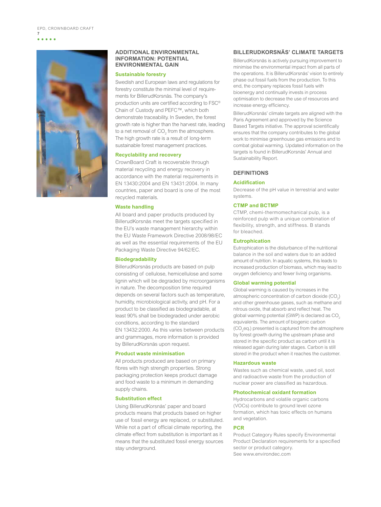EPD, CROWNBOARD CRAFT

**7**



## **ADDITIONAL ENVIRONMENTAL INFORMATION: POTENTIAL ENVIRONMENTAL GAIN**

## **Sustainable forestry**

Swedish and European laws and regulations for forestry constitute the minimal level of requirements for BillerudKorsnäs. The company's production units are certified according to FSC® Chain of Custody and PEFC™, which both demonstrate traceability. In Sweden, the forest growth rate is higher than the harvest rate, leading to a net removal of  $CO<sub>2</sub>$  from the atmosphere. The high growth rate is a result of long-term sustainable forest management practices.

## **Recyclability and recovery**

CrownBoard Craft is recoverable through material recycling and energy recovery in accordance with the material requirements in EN 13430:2004 and EN 13431:2004. In many countries, paper and board is one of the most recycled materials.

## **Waste handling**

All board and paper products produced by BillerudKorsnäs meet the targets specified in the EU's waste management hierarchy within the EU Waste Framework Directive 2008/98/EC as well as the essential requirements of the EU Packaging Waste Directive 94/62/EC.

## **Biodegradability**

BillerudKorsnäs products are based on pulp consisting of cellulose, hemicellulose and some lignin which will be degraded by microorganisms in nature. The decomposition time required depends on several factors such as temperature, humidity, microbiological activity, and pH. For a product to be classified as biodegradable, at least 90% shall be biodegraded under aerobic conditions, according to the standard EN 13432:2000. As this varies between products and grammages, more information is provided by BillerudKorsnäs upon request.

## **Product waste minimisation**

All products produced are based on primary fibres with high strength properties. Strong packaging protection keeps product damage and food waste to a minimum in demanding supply chains.

## **Substitution effect**

Using BillerudKorsnäs' paper and board products means that products based on higher use of fossil energy are replaced, or substituted. While not a part of official climate reporting, the climate effect from substitution is important as it means that the substituted fossil energy sources stay underground.

## **BILLERUDKORSNÄS' CLIMATE TARGETS**

BillerudKorsnäs is actively pursuing improvement to minimise the environmental impact from all parts of the operations. It is BillerudKorsnäs' vision to entirely phase out fossil fuels from the production. To this end, the company replaces fossil fuels with bioenergy and continually invests in process optimisation to decrease the use of resources and increase energy efficiency.

BillerudKorsnäs' climate targets are aligned with the Paris Agreement and approved by the Science Based Targets initiative. The approval scientifically ensures that the company contributes to the global work to minimise greenhouse gas emissions and to combat global warming. Updated information on the targets is found in BillerudKorsnäs' Annual and Sustainability Report.

## **DEFINITIONS**

## **Acidification**

Decrease of the pH value in terrestrial and water systems.

## **CTMP and BCTMP**

CTMP, chemi-thermomechanical pulp, is a reinforced pulp with a unique combination of flexibility, strength, and stiffness. B stands for bleached.

## **Eutrophication**

Eutrophication is the disturbance of the nutritional balance in the soil and waters due to an added amount of nutrition. In aquatic systems, this leads to increased production of biomass, which may lead to oxygen deficiency and fewer living organisms.

## **Global warming potential**

Global warming is caused by increases in the atmospheric concentration of carbon dioxide  $(CO_2)$ and other greenhouse gases, such as methane and nitrous oxide, that absorb and reflect heat. The global warming potential (GWP) is declared as  $CO<sub>2</sub>$ equivalents. The amount of biogenic carbon  $(CO<sub>2</sub>eq.)$  presented is captured from the atmosphere by forest growth during the upstream phase and stored in the specific product as carbon until it is released again during later stages. Carbon is still stored in the product when it reaches the customer.

## **Hazardous waste**

Wastes such as chemical waste, used oil, soot and radioactive waste from the production of nuclear power are classified as hazardous.

## **Photochemical oxidant formation**

Hydrocarbons and volatile organic carbons (VOCs) contribute to ground level ozone formation, which has toxic effects on humans and vegetation.

## **PCR**

Product Category Rules specify Environmental Product Declaration requirements for a specified sector or product category. See www.environdec.com